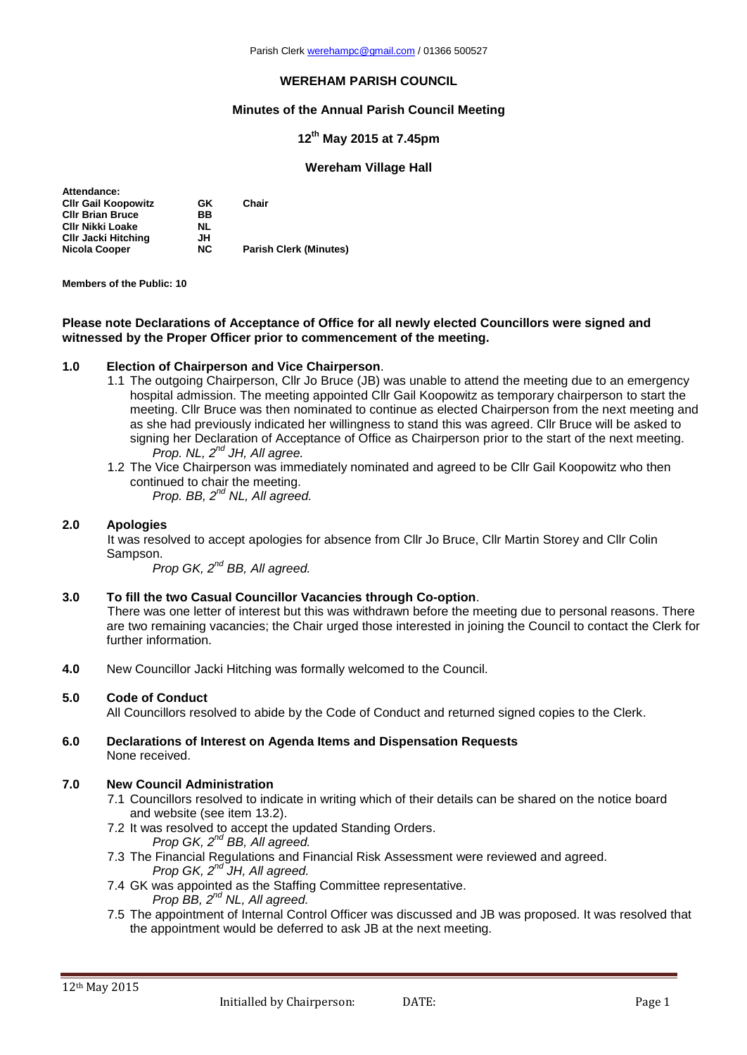### **WEREHAM PARISH COUNCIL**

### **Minutes of the Annual Parish Council Meeting**

# **12 th May 2015 at 7.45pm**

### **Wereham Village Hall**

| Attendance:                |     |                               |
|----------------------------|-----|-------------------------------|
| <b>CIIr Gail Koopowitz</b> | GK  | Chair                         |
| <b>CIIr Brian Bruce</b>    | ВB  |                               |
| <b>CIIr Nikki Loake</b>    | NL  |                               |
| <b>CIIr Jacki Hitching</b> | JH  |                               |
| Nicola Cooper              | NC. | <b>Parish Clerk (Minutes)</b> |

**Members of the Public: 10**

#### **Please note Declarations of Acceptance of Office for all newly elected Councillors were signed and witnessed by the Proper Officer prior to commencement of the meeting.**

### **1.0 Election of Chairperson and Vice Chairperson**.

- 1.1 The outgoing Chairperson, Cllr Jo Bruce (JB) was unable to attend the meeting due to an emergency hospital admission. The meeting appointed Cllr Gail Koopowitz as temporary chairperson to start the meeting. Cllr Bruce was then nominated to continue as elected Chairperson from the next meeting and as she had previously indicated her willingness to stand this was agreed. Cllr Bruce will be asked to signing her Declaration of Acceptance of Office as Chairperson prior to the start of the next meeting. *Prop. NL, 2nd JH, All agree.*
- 1.2 The Vice Chairperson was immediately nominated and agreed to be Cllr Gail Koopowitz who then continued to chair the meeting.
	- *Prop. BB, 2nd NL, All agreed.*

# **2.0 Apologies**

It was resolved to accept apologies for absence from Cllr Jo Bruce, Cllr Martin Storey and Cllr Colin Sampson.

*Prop GK, 2nd BB, All agreed.*

# **3.0 To fill the two Casual Councillor Vacancies through Co-option**.

There was one letter of interest but this was withdrawn before the meeting due to personal reasons. There are two remaining vacancies; the Chair urged those interested in joining the Council to contact the Clerk for further information.

**4.0** New Councillor Jacki Hitching was formally welcomed to the Council.

#### **5.0 Code of Conduct**

All Councillors resolved to abide by the Code of Conduct and returned signed copies to the Clerk.

#### **6.0 Declarations of Interest on Agenda Items and Dispensation Requests** None received.

#### **7.0 New Council Administration**

- 7.1 Councillors resolved to indicate in writing which of their details can be shared on the notice board and website (see item 13.2).
- 7.2 It was resolved to accept the updated Standing Orders. *Prop GK, 2nd BB, All agreed.*
- 7.3 The Financial Regulations and Financial Risk Assessment were reviewed and agreed. *Prop GK, 2nd JH, All agreed.*
- 7.4 GK was appointed as the Staffing Committee representative. *Prop BB, 2nd NL, All agreed.*
- 7.5 The appointment of Internal Control Officer was discussed and JB was proposed. It was resolved that the appointment would be deferred to ask JB at the next meeting.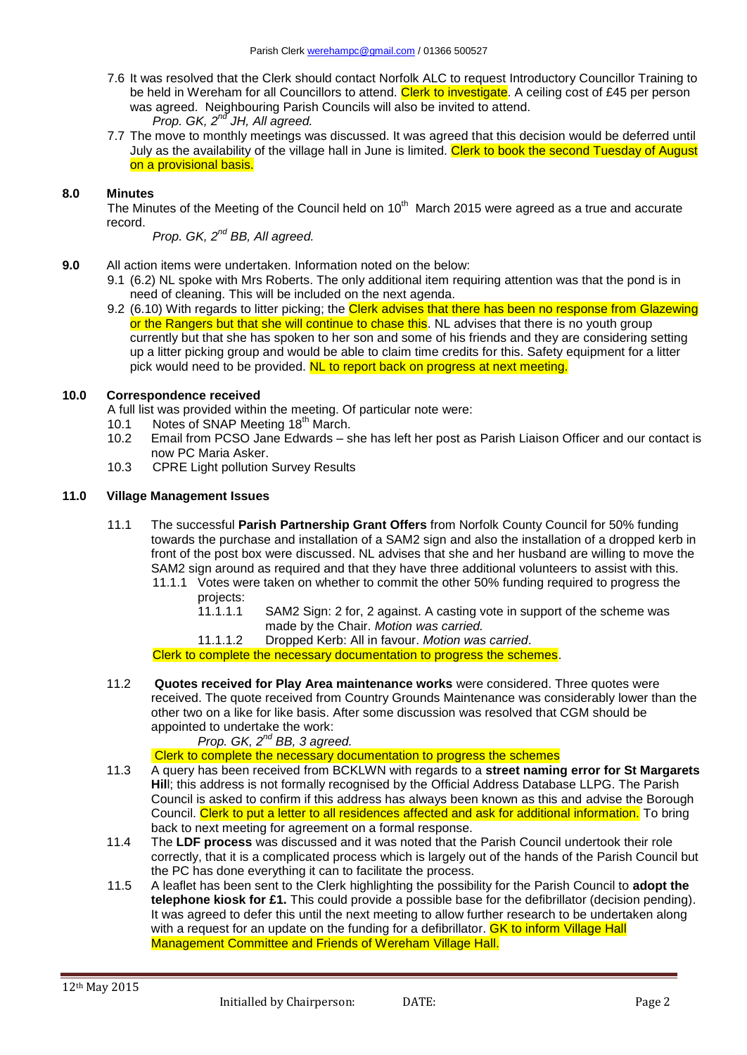- 7.6 It was resolved that the Clerk should contact Norfolk ALC to request Introductory Councillor Training to be held in Wereham for all Councillors to attend. Clerk to investigate. A ceiling cost of £45 per person was agreed. Neighbouring Parish Councils will also be invited to attend. *Prop. GK, 2nd JH, All agreed.*
- 7.7 The move to monthly meetings was discussed. It was agreed that this decision would be deferred until July as the availability of the village hall in June is limited. Clerk to book the second Tuesday of August on a provisional basis.

# **8.0 Minutes**

The Minutes of the Meeting of the Council held on 10<sup>th</sup> March 2015 were agreed as a true and accurate record.

*Prop. GK, 2nd BB, All agreed.*

- **9.0** All action items were undertaken. Information noted on the below:
	- 9.1 (6.2) NL spoke with Mrs Roberts. The only additional item requiring attention was that the pond is in need of cleaning. This will be included on the next agenda.
	- 9.2 (6.10) With regards to litter picking; the Clerk advises that there has been no response from Glazewing or the Rangers but that she will continue to chase this. NL advises that there is no youth group currently but that she has spoken to her son and some of his friends and they are considering setting up a litter picking group and would be able to claim time credits for this. Safety equipment for a litter pick would need to be provided. NL to report back on progress at next meeting.

### **10.0 Correspondence received**

A full list was provided within the meeting. Of particular note were:

- 10.1 Notes of SNAP Meeting 18<sup>th</sup> March.
- 10.2 Email from PCSO Jane Edwards she has left her post as Parish Liaison Officer and our contact is now PC Maria Asker.
- 10.3 CPRE Light pollution Survey Results

### **11.0 Village Management Issues**

- 11.1 The successful **Parish Partnership Grant Offers** from Norfolk County Council for 50% funding towards the purchase and installation of a SAM2 sign and also the installation of a dropped kerb in front of the post box were discussed. NL advises that she and her husband are willing to move the SAM2 sign around as required and that they have three additional volunteers to assist with this. 11.1.1 Votes were taken on whether to commit the other 50% funding required to progress the
	- projects:
	- 11.1.1.1 SAM2 Sign: 2 for, 2 against. A casting vote in support of the scheme was made by the Chair. *Motion was carried.*
	- 11.1.1.2 Dropped Kerb: All in favour. *Motion was carried*.

Clerk to complete the necessary documentation to progress the schemes.

11.2 **Quotes received for Play Area maintenance works** were considered. Three quotes were received. The quote received from Country Grounds Maintenance was considerably lower than the other two on a like for like basis. After some discussion was resolved that CGM should be appointed to undertake the work:

*Prop. GK, 2nd BB, 3 agreed.*

Clerk to complete the necessary documentation to progress the schemes

- 11.3 A query has been received from BCKLWN with regards to a **street naming error for St Margarets Hil**l; this address is not formally recognised by the Official Address Database LLPG. The Parish Council is asked to confirm if this address has always been known as this and advise the Borough Council. Clerk to put a letter to all residences affected and ask for additional information. To bring back to next meeting for agreement on a formal response.
- 11.4 The **LDF process** was discussed and it was noted that the Parish Council undertook their role correctly, that it is a complicated process which is largely out of the hands of the Parish Council but the PC has done everything it can to facilitate the process.
- 11.5 A leaflet has been sent to the Clerk highlighting the possibility for the Parish Council to **adopt the telephone kiosk for £1.** This could provide a possible base for the defibrillator (decision pending). It was agreed to defer this until the next meeting to allow further research to be undertaken along with a request for an update on the funding for a defibrillator. GK to inform Village Hall Management Committee and Friends of Wereham Village Hall.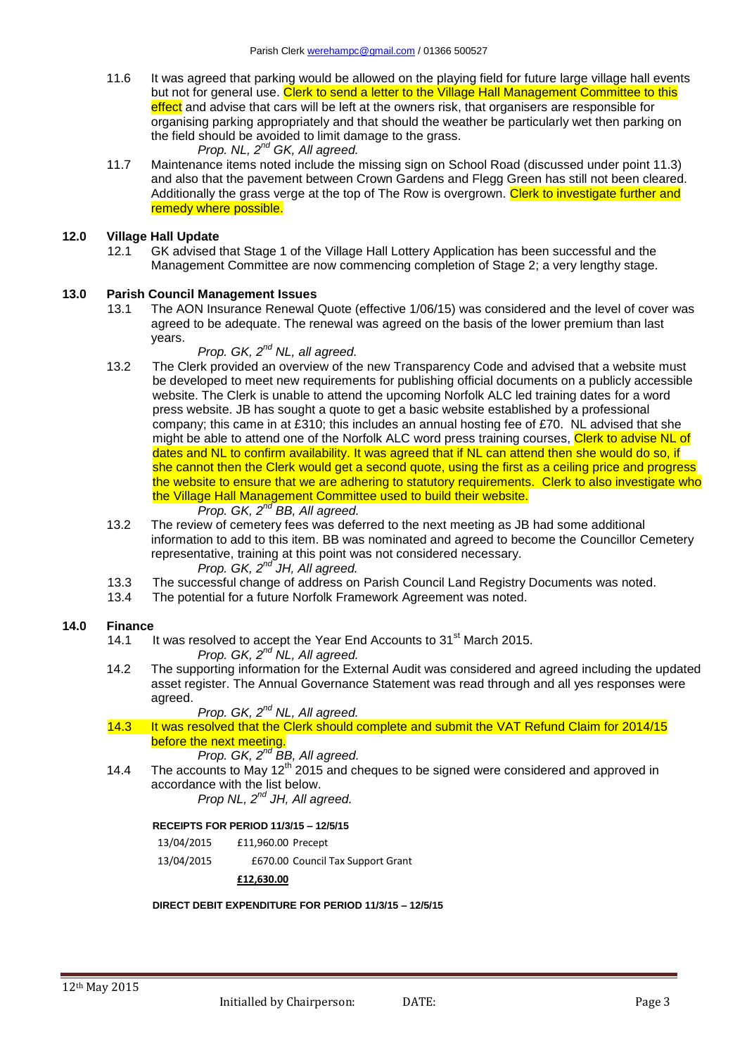11.6 It was agreed that parking would be allowed on the playing field for future large village hall events but not for general use. Clerk to send a letter to the Village Hall Management Committee to this effect and advise that cars will be left at the owners risk, that organisers are responsible for organising parking appropriately and that should the weather be particularly wet then parking on the field should be avoided to limit damage to the grass.

*Prop. NL, 2nd GK, All agreed.*

11.7 Maintenance items noted include the missing sign on School Road (discussed under point 11.3) and also that the pavement between Crown Gardens and Flegg Green has still not been cleared. Additionally the grass verge at the top of The Row is overgrown. Clerk to investigate further and remedy where possible.

### **12.0 Village Hall Update**

12.1 GK advised that Stage 1 of the Village Hall Lottery Application has been successful and the Management Committee are now commencing completion of Stage 2; a very lengthy stage.

### **13.0 Parish Council Management Issues**

13.1 The AON Insurance Renewal Quote (effective 1/06/15) was considered and the level of cover was agreed to be adequate. The renewal was agreed on the basis of the lower premium than last years.

# *Prop. GK, 2nd NL, all agreed.*

13.2 The Clerk provided an overview of the new Transparency Code and advised that a website must be developed to meet new requirements for publishing official documents on a publicly accessible website. The Clerk is unable to attend the upcoming Norfolk ALC led training dates for a word press website. JB has sought a quote to get a basic website established by a professional company; this came in at £310; this includes an annual hosting fee of £70. NL advised that she might be able to attend one of the Norfolk ALC word press training courses, Clerk to advise NL of dates and NL to confirm availability. It was agreed that if NL can attend then she would do so, if she cannot then the Clerk would get a second quote, using the first as a ceiling price and progress the website to ensure that we are adhering to statutory requirements. Clerk to also investigate who the Village Hall Management Committee used to build their website.

# *Prop. GK, 2nd BB, All agreed.*

- 13.2 The review of cemetery fees was deferred to the next meeting as JB had some additional information to add to this item. BB was nominated and agreed to become the Councillor Cemetery representative, training at this point was not considered necessary. *Prop. GK, 2nd JH, All agreed.*
- 13.3 The successful change of address on Parish Council Land Registry Documents was noted.<br>13.4 The potential for a future Norfolk Framework Agreement was noted.
- The potential for a future Norfolk Framework Agreement was noted.

#### **14.0 Finance**

- 14.1 It was resolved to accept the Year End Accounts to 31<sup>st</sup> March 2015. *Prop. GK, 2nd NL, All agreed.*
- 14.2 The supporting information for the External Audit was considered and agreed including the updated asset register. The Annual Governance Statement was read through and all yes responses were agreed.

## *Prop. GK, 2 nd NL, All agreed.*

14.3 It was resolved that the Clerk should complete and submit the VAT Refund Claim for 2014/15 before the next meeting.

# *Prop. GK, 2nd BB, All agreed.*

14.4 The accounts to May  $12<sup>th</sup>$  2015 and cheques to be signed were considered and approved in accordance with the list below.

*Prop NL, 2nd JH, All agreed.*

#### **RECEIPTS FOR PERIOD 11/3/15 – 12/5/15**

| 13/04/2015 | £11,960.00 Precept |  |
|------------|--------------------|--|
|------------|--------------------|--|

13/04/2015 £670.00 Council Tax Support Grant

**£12,630.00**

#### **DIRECT DEBIT EXPENDITURE FOR PERIOD 11/3/15 – 12/5/15**